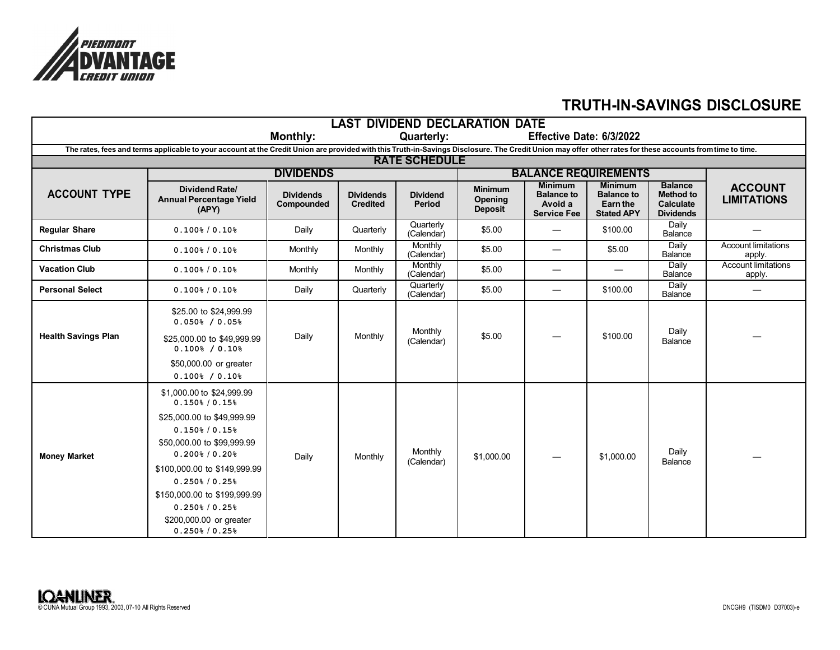

## **TRUTH-IN-SAVINGS DISCLOSURE**

| <b>LAST DIVIDEND DECLARATION DATE</b>                                                                                                                                                                     |                                                                                                                                                                      |                                |                                     |                           |                                                                                   |                                                    |                                                    |                                                          |                                      |  |
|-----------------------------------------------------------------------------------------------------------------------------------------------------------------------------------------------------------|----------------------------------------------------------------------------------------------------------------------------------------------------------------------|--------------------------------|-------------------------------------|---------------------------|-----------------------------------------------------------------------------------|----------------------------------------------------|----------------------------------------------------|----------------------------------------------------------|--------------------------------------|--|
|                                                                                                                                                                                                           | Effective Date: 6/3/2022                                                                                                                                             |                                |                                     |                           |                                                                                   |                                                    |                                                    |                                                          |                                      |  |
| The rates, fees and terms applicable to your account at the Credit Union are provided with this Truth-in-Savings Disclosure. The Credit Union may offer other rates for these accounts from time to time. |                                                                                                                                                                      |                                |                                     |                           |                                                                                   |                                                    |                                                    |                                                          |                                      |  |
| <b>RATE SCHEDULE</b>                                                                                                                                                                                      |                                                                                                                                                                      |                                |                                     |                           |                                                                                   |                                                    |                                                    |                                                          |                                      |  |
| <b>ACCOUNT TYPE</b>                                                                                                                                                                                       | <b>DIVIDENDS</b>                                                                                                                                                     |                                |                                     |                           | <b>BALANCE REQUIREMENTS</b><br><b>Minimum</b><br><b>Balance</b><br><b>Minimum</b> |                                                    |                                                    |                                                          |                                      |  |
|                                                                                                                                                                                                           | <b>Dividend Rate/</b><br><b>Annual Percentage Yield</b><br>(APY)                                                                                                     | <b>Dividends</b><br>Compounded | <b>Dividends</b><br><b>Credited</b> | <b>Dividend</b><br>Period | <b>Minimum</b><br><b>Opening</b><br><b>Deposit</b>                                | <b>Balance to</b><br>Avoid a<br><b>Service Fee</b> | <b>Balance to</b><br>Earn the<br><b>Stated APY</b> | <b>Method to</b><br><b>Calculate</b><br><b>Dividends</b> | <b>ACCOUNT</b><br><b>LIMITATIONS</b> |  |
| <b>Regular Share</b>                                                                                                                                                                                      | $0.100\frac{1}{6}$ / 0.10%                                                                                                                                           | Daily                          | Quarterly                           | Quarterly<br>(Calendar)   | \$5.00                                                                            |                                                    | \$100.00                                           | <b>Daily</b><br>Balance                                  |                                      |  |
| <b>Christmas Club</b>                                                                                                                                                                                     | $0.100\frac{1}{6}$ / 0.10%                                                                                                                                           | Monthly                        | Monthly                             | Monthly<br>(Calendar)     | \$5.00                                                                            |                                                    | \$5.00                                             | Daily<br>Balance                                         | <b>Account limitations</b><br>apply. |  |
| <b>Vacation Club</b>                                                                                                                                                                                      | $0.100\frac{1}{6}$ / 0.10%                                                                                                                                           | Monthly                        | Monthly                             | Monthly<br>(Calendar)     | \$5.00                                                                            |                                                    |                                                    | Daily<br>Balance                                         | <b>Account limitations</b><br>apply. |  |
| <b>Personal Select</b>                                                                                                                                                                                    | 0.100% / 0.10%                                                                                                                                                       | Daily                          | Quarterly                           | Quarterly<br>(Calendar)   | \$5.00                                                                            |                                                    | \$100.00                                           | Daily<br>Balance                                         |                                      |  |
|                                                                                                                                                                                                           | \$25.00 to \$24,999.99<br>0.050% / 0.05%                                                                                                                             |                                |                                     | Monthly                   |                                                                                   |                                                    |                                                    | Daily                                                    |                                      |  |
| <b>Health Savings Plan</b>                                                                                                                                                                                | \$25,000.00 to \$49,999.99<br>0.100% / 0.10%                                                                                                                         | Daily                          | Monthly                             | (Calendar)                | \$5.00                                                                            |                                                    | \$100.00                                           | Balance                                                  |                                      |  |
|                                                                                                                                                                                                           | \$50,000.00 or greater<br>$0.100$ <sup>8</sup> / $0.10$ <sup>8</sup>                                                                                                 |                                |                                     |                           |                                                                                   |                                                    |                                                    |                                                          |                                      |  |
|                                                                                                                                                                                                           | \$1,000.00 to \$24,999.99<br>$0.150\frac{1}{6}$ / 0.15%                                                                                                              |                                |                                     |                           |                                                                                   |                                                    |                                                    |                                                          |                                      |  |
| <b>Money Market</b>                                                                                                                                                                                       | \$25,000.00 to \$49,999.99<br>$0.150\frac{6}{5}$ / 0.15%<br>\$50,000.00 to \$99,999.99<br>$0.200$ <sup>8</sup> / $0.20$ <sup>8</sup><br>\$100,000.00 to \$149,999.99 | Daily                          | Monthly                             | Monthly<br>(Calendar)     | \$1,000.00                                                                        |                                                    | \$1,000.00                                         | Daily<br>Balance                                         |                                      |  |
|                                                                                                                                                                                                           | $0.250\frac{1}{6}$ / 0.25%<br>\$150,000.00 to \$199,999.99<br>$0.250\frac{6}{3}$ / 0.25%<br>\$200,000.00 or greater<br>$0.250\frac{6}{5}$ / 0.25%                    |                                |                                     |                           |                                                                                   |                                                    |                                                    |                                                          |                                      |  |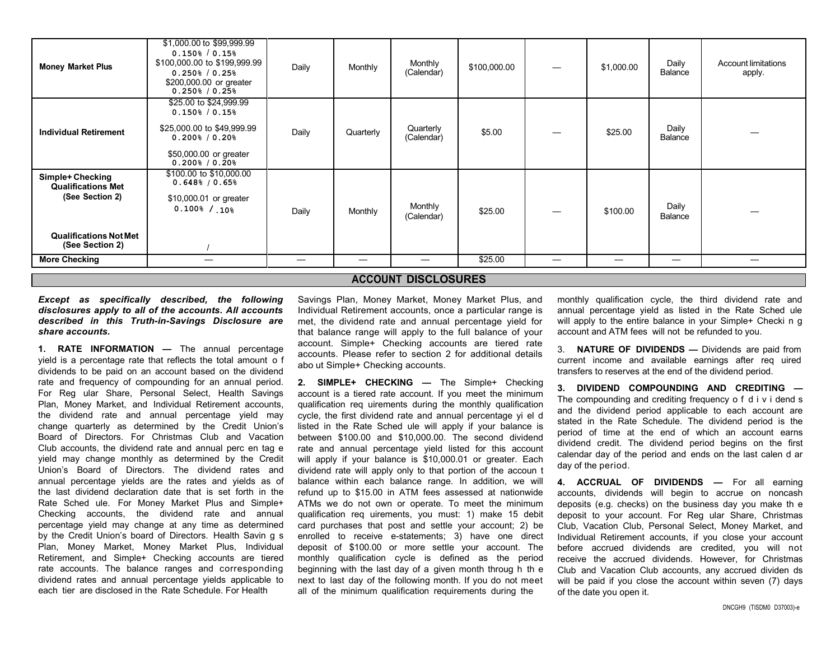|                                                  | \$1,000.00 to \$99,999.99                                                                                           |       |           |                         |              |  |            |                          |                                      |
|--------------------------------------------------|---------------------------------------------------------------------------------------------------------------------|-------|-----------|-------------------------|--------------|--|------------|--------------------------|--------------------------------------|
| <b>Money Market Plus</b>                         | $0.150\frac{1}{6}$ / 0.15%<br>\$100,000.00 to \$199,999.99<br>$0.250\frac{1}{6}$ / 0.25%<br>\$200,000.00 or greater | Daily | Monthly   | Monthly<br>(Calendar)   | \$100,000.00 |  | \$1,000.00 | Daily<br>Balance         | <b>Account limitations</b><br>apply. |
|                                                  | $0.250\% / 0.25\%$                                                                                                  |       |           |                         |              |  |            |                          |                                      |
|                                                  | \$25.00 to \$24,999.99<br>$0.150\frac{1}{6}$ / 0.15%                                                                |       |           |                         |              |  |            |                          |                                      |
| <b>Individual Retirement</b>                     | \$25,000.00 to \$49,999.99<br>$0.200$ <sup>8</sup> / $0.20$ <sup>8</sup>                                            | Daily | Quarterly | Quarterly<br>(Calendar) | \$5.00       |  | \$25.00    | Daily<br>Balance         |                                      |
|                                                  | \$50,000.00 or greater<br>$0.200$ <sup>8</sup> / $0.20$ <sup>8</sup>                                                |       |           |                         |              |  |            |                          |                                      |
| Simple+ Checking<br><b>Qualifications Met</b>    | \$100.00 to \$10,000.00<br>0.648% / 0.65%                                                                           |       |           |                         |              |  |            |                          |                                      |
| (See Section 2)                                  | \$10,000.01 or greater<br>$0.100\frac{1}{6}$ / $.10\frac{1}{6}$                                                     | Daily | Monthly   | Monthly<br>(Calendar)   | \$25.00      |  | \$100.00   | Daily<br>Balance         |                                      |
| <b>Qualifications Not Met</b><br>(See Section 2) |                                                                                                                     |       |           |                         |              |  |            |                          |                                      |
| <b>More Checking</b>                             |                                                                                                                     | —     | —         | —                       | \$25.00      |  |            | $\overline{\phantom{m}}$ |                                      |
| <b>ACCOUNT DISCLOSURES</b>                       |                                                                                                                     |       |           |                         |              |  |            |                          |                                      |

*Except as specifically described, the following disclosures apply to all of the accounts. All accounts described in this Truth-in-Savings Disclosure are share accounts.*

**1. RATE INFORMATION —** The annual percentage yield is a percentage rate that reflects the total amount o f dividends to be paid on an account based on the dividend rate and frequency of compounding for an annual period. For Reg ular Share, Personal Select, Health Savings Plan, Money Market, and Individual Retirement accounts, the dividend rate and annual percentage yield may change quarterly as determined by the Credit Union's Board of Directors. For Christmas Club and Vacation Club accounts, the dividend rate and annual perc en tag e yield may change monthly as determined by the Credit Union's Board of Directors. The dividend rates and annual percentage yields are the rates and yields as of the last dividend declaration date that is set forth in the Rate Sched ule. For Money Market Plus and Simple+ Checking accounts, the dividend rate and annual percentage yield may change at any time as determined by the Credit Union's board of Directors. Health Savin g s Plan, Money Market, Money Market Plus, Individual Retirement, and Simple+ Checking accounts are tiered rate accounts. The balance ranges and corresponding dividend rates and annual percentage yields applicable to each tier are disclosed in the Rate Schedule. For Health

Savings Plan, Money Market, Money Market Plus, and Individual Retirement accounts, once a particular range is met, the dividend rate and annual percentage yield for that balance range will apply to the full balance of your account. Simple+ Checking accounts are tiered rate accounts. Please refer to section 2 for additional details abo ut Simple+ Checking accounts.

**2. SIMPLE+ CHECKING —** The Simple+ Checking account is a tiered rate account. If you meet the minimum qualification req uirements during the monthly qualification cycle, the first dividend rate and annual percentage yi el d listed in the Rate Sched ule will apply if your balance is between \$100.00 and \$10,000.00. The second dividend rate and annual percentage yield listed for this account will apply if your balance is \$10,000.01 or greater. Each dividend rate will apply only to that portion of the accoun t balance within each balance range. In addition, we will refund up to \$15.00 in ATM fees assessed at nationwide ATMs we do not own or operate. To meet the minimum qualification req uirements, you must: 1) make 15 debit card purchases that post and settle your account; 2) be enrolled to receive e-statements; 3) have one direct deposit of \$100.00 or more settle your account. The monthly qualification cycle is defined as the period beginning with the last day of a given month throug h th e next to last day of the following month. If you do not meet all of the minimum qualification requirements during the

monthly qualification cycle, the third dividend rate and annual percentage yield as listed in the Rate Sched ule will apply to the entire balance in your Simple+ Checki n g account and ATM fees will not be refunded to you.

3. **NATURE OF DIVIDENDS —** Dividends are paid from current income and available earnings after req uired transfers to reserves at the end of the dividend period.

**3. DIVIDEND COMPOUNDING AND CREDITING —** The compounding and crediting frequency o f d i v i dend s and the dividend period applicable to each account are stated in the Rate Schedule. The dividend period is the period of time at the end of which an account earns dividend credit. The dividend period begins on the first calendar day of the period and ends on the last calen d ar day of the period.

**4. ACCRUAL OF DIVIDENDS —** For all earning accounts, dividends will begin to accrue on noncash deposits (e.g. checks) on the business day you make th e deposit to your account. For Reg ular Share, Christmas Club, Vacation Club, Personal Select, Money Market, and Individual Retirement accounts, if you close your account before accrued dividends are credited, you will not receive the accrued dividends. However, for Christmas Club and Vacation Club accounts, any accrued dividen ds will be paid if you close the account within seven (7) days of the date you open it.